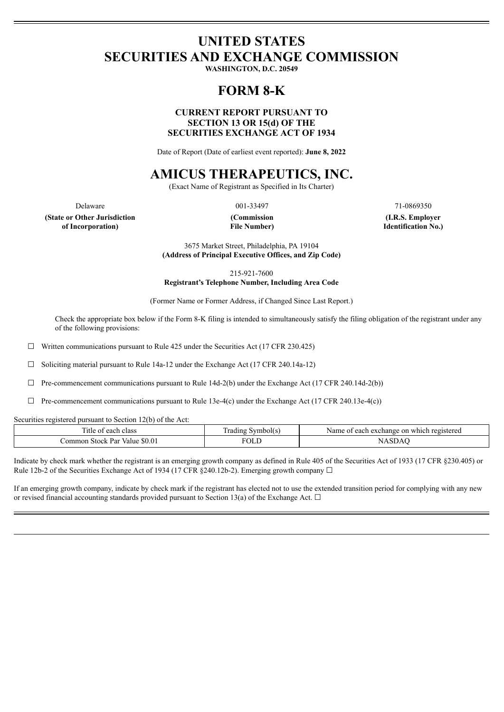# **UNITED STATES SECURITIES AND EXCHANGE COMMISSION**

**WASHINGTON, D.C. 20549**

# **FORM 8-K**

## **CURRENT REPORT PURSUANT TO SECTION 13 OR 15(d) OF THE SECURITIES EXCHANGE ACT OF 1934**

Date of Report (Date of earliest event reported): **June 8, 2022**

# **AMICUS THERAPEUTICS, INC.**

(Exact Name of Registrant as Specified in Its Charter)

**(State or Other Jurisdiction of Incorporation)**

**(Commission File Number)**

Delaware 21-0869350 001-33497 21-0869350

**(I.R.S. Employer Identification No.)**

3675 Market Street, Philadelphia, PA 19104 **(Address of Principal Executive Offices, and Zip Code)**

215-921-7600

**Registrant's Telephone Number, Including Area Code**

(Former Name or Former Address, if Changed Since Last Report.)

Check the appropriate box below if the Form 8-K filing is intended to simultaneously satisfy the filing obligation of the registrant under any of the following provisions:

 $\Box$  Written communications pursuant to Rule 425 under the Securities Act (17 CFR 230.425)

☐ Soliciting material pursuant to Rule 14a-12 under the Exchange Act (17 CFR 240.14a-12)

 $\Box$  Pre-commencement communications pursuant to Rule 14d-2(b) under the Exchange Act (17 CFR 240.14d-2(b))

 $\Box$  Pre-commencement communications pursuant to Rule 13e-4(c) under the Exchange Act (17 CFR 240.13e-4(c))

Securities registered pursuant to Section 12(b) of the Act:

| —<br>class<br>annr<br>ifie                                                                                                              | symbol(s)<br>rading | which registered<br>Name<br><sub>on</sub><br>a exchange.<br>each<br>. |
|-----------------------------------------------------------------------------------------------------------------------------------------|---------------------|-----------------------------------------------------------------------|
| ጣጣ<br><b>50.01</b><br>ommon<br>Stock<br>Par<br>Value<br>the contract of the contract of the contract of the contract of the contract of | ĩОI<br>____         |                                                                       |

Indicate by check mark whether the registrant is an emerging growth company as defined in Rule 405 of the Securities Act of 1933 (17 CFR §230.405) or Rule 12b-2 of the Securities Exchange Act of 1934 (17 CFR §240.12b-2). Emerging growth company  $\Box$ 

If an emerging growth company, indicate by check mark if the registrant has elected not to use the extended transition period for complying with any new or revised financial accounting standards provided pursuant to Section 13(a) of the Exchange Act.  $\Box$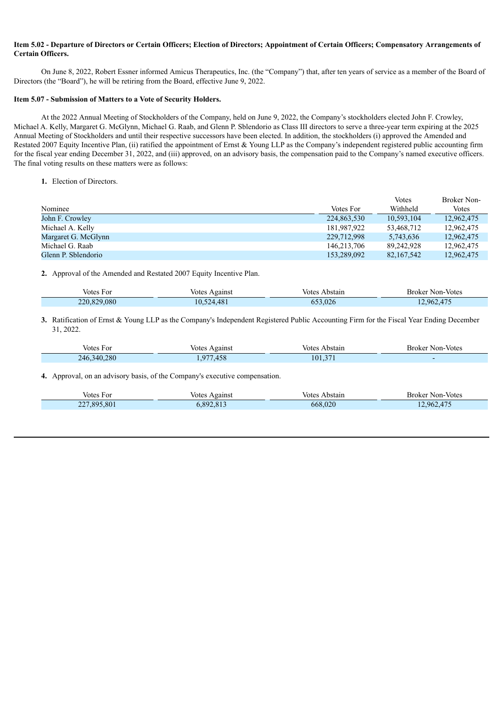### Item 5.02 - Departure of Directors or Certain Officers; Election of Directors; Appointment of Certain Officers; Compensatory Arrangements of **Certain Officers.**

On June 8, 2022, Robert Essner informed Amicus Therapeutics, Inc. (the "Company") that, after ten years of service as a member of the Board of Directors (the "Board"), he will be retiring from the Board, effective June 9, 2022.

#### **Item 5.07 - Submission of Matters to a Vote of Security Holders.**

At the 2022 Annual Meeting of Stockholders of the Company, held on June 9, 2022, the Company's stockholders elected John F. Crowley, Michael A. Kelly, Margaret G. McGlynn, Michael G. Raab, and Glenn P. Sblendorio as Class III directors to serve a three-year term expiring at the 2025 Annual Meeting of Stockholders and until their respective successors have been elected. In addition, the stockholders (i) approved the Amended and Restated 2007 Equity Incentive Plan, (ii) ratified the appointment of Ernst & Young LLP as the Company's independent registered public accounting firm for the fiscal year ending December 31, 2022, and (iii) approved, on an advisory basis, the compensation paid to the Company's named executive officers. The final voting results on these matters were as follows:

**1.** Election of Directors.

|                     |             | Votes      | Broker Non-  |
|---------------------|-------------|------------|--------------|
| Nominee             | Votes For   | Withheld   | <b>Votes</b> |
| John F. Crowley     | 224,863,530 | 10.593.104 | 12,962,475   |
| Michael A. Kelly    | 181,987,922 | 53,468,712 | 12,962,475   |
| Margaret G. McGlynn | 229,712,998 | 5,743,636  | 12,962,475   |
| Michael G. Raab     | 146.213.706 | 89.242.928 | 12,962,475   |
| Glenn P. Shlendorio | 153,289,092 | 82,167,542 | 12,962,475   |

**2.** Approval of the Amended and Restated 2007 Equity Incentive Plan.

| Votes For   | Votes Against | Votes Abstain | Broker Non-Votes |
|-------------|---------------|---------------|------------------|
| 220,829,080 | 10,524,481    | 653,026       | .962,475         |

**3.** Ratification of Ernst & Young LLP as the Company's Independent Registered Public Accounting Firm for the Fiscal Year Ending December 31, 2022.

| Votes For   | Against<br>votes                  | <b>Votes</b><br>Abstain | Broker Non-Votes |
|-------------|-----------------------------------|-------------------------|------------------|
| 246,340,280 | $1 - \alpha$<br>$\Omega T$<br>458 | $\bigcap$<br>101.37     |                  |

**4.** Approval, on an advisory basis, of the Company's executive compensation.

| Votes For   | Votes Against | Abstain<br>Votes | <b>Broker Non-Votes</b> |
|-------------|---------------|------------------|-------------------------|
| 227,895,801 | 5,892,813     | 668,020          | 2.962.475               |